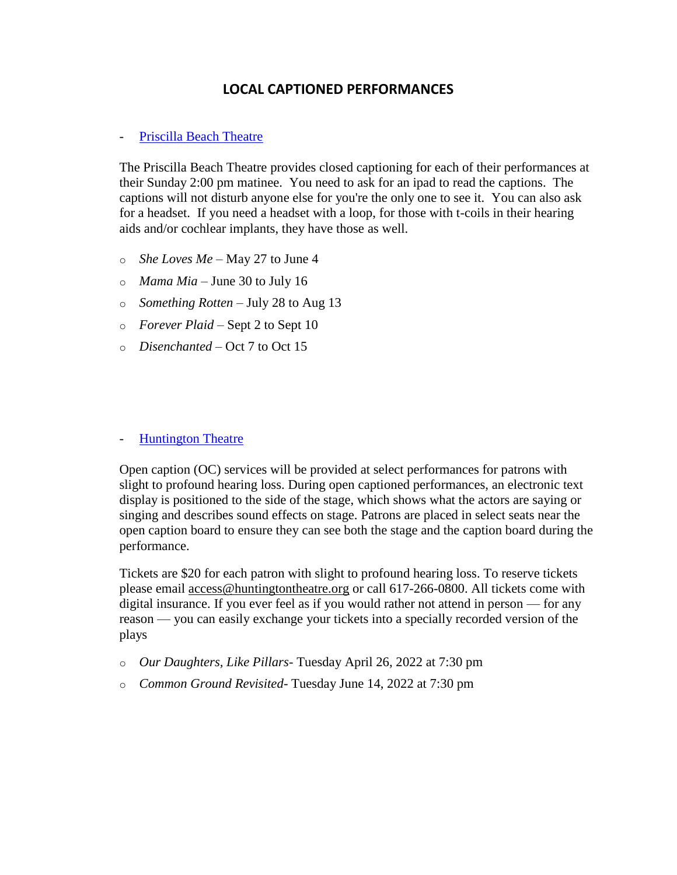## **LOCAL CAPTIONED PERFORMANCES**

## - [Priscilla Beach Theatre](https://www.pbtheatre.org/)

The Priscilla Beach Theatre provides closed captioning for each of their performances at their Sunday 2:00 pm matinee. You need to ask for an ipad to read the captions. The captions will not disturb anyone else for you're the only one to see it. You can also ask for a headset. If you need a headset with a loop, for those with t-coils in their hearing aids and/or cochlear implants, they have those as well.

- o *She Loves Me*  May 27 to June 4
- o *Mama Mia*  June 30 to July 16
- o *Something Rotten*  July 28 to Aug 13
- o *Forever Plaid*  Sept 2 to Sept 10
- o *Disenchanted*  Oct 7 to Oct 15

## - [Huntington Theatre](https://www.huntingtontheatre.org/visit/accessibility/#Open%20Captioning)

Open caption (OC) services will be provided at select performances for patrons with slight to profound hearing loss. During open captioned performances, an electronic text display is positioned to the side of the stage, which shows what the actors are saying or singing and describes sound effects on stage. Patrons are placed in select seats near the open caption board to ensure they can see both the stage and the caption board during the performance.

Tickets are \$20 for each patron with slight to profound hearing loss. To reserve tickets please email [access@huntingtontheatre.org](mailto:access@huntingtontheatre.org) or call 617-266-0800. All tickets come with digital insurance. If you ever feel as if you would rather not attend in person — for any reason — you can easily exchange your tickets into a specially recorded version of the plays

- o *Our Daughters, Like Pillars* Tuesday April 26, 2022 at 7:30 pm
- o *Common Ground Revisited* Tuesday June 14, 2022 at 7:30 pm